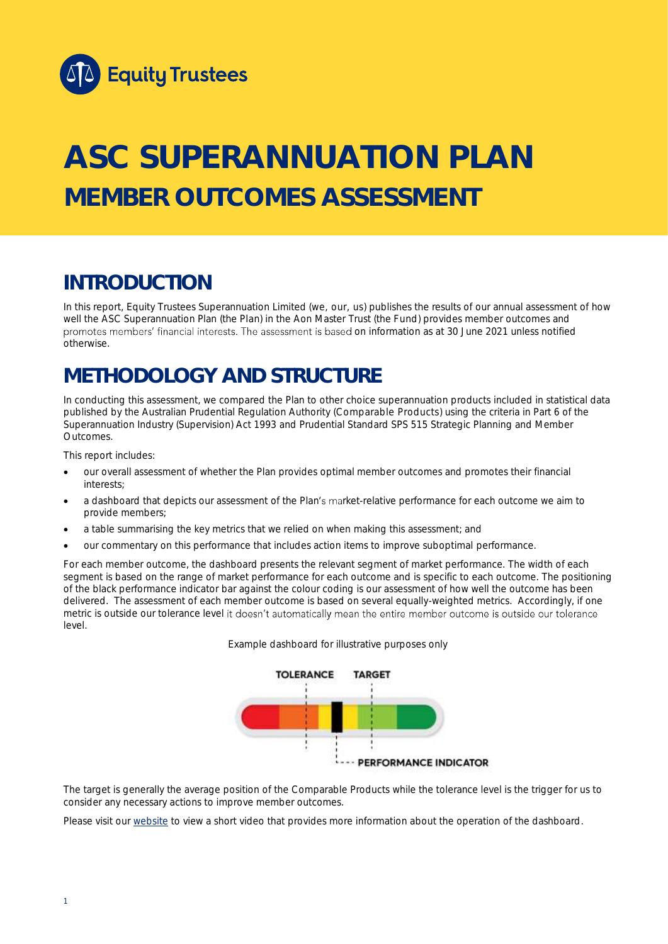

# **ASC SUPERANNUATION PLAN MEMBER OUTCOMES ASSESSMENT**

# **INTRODUCTION**

In this report, Equity Trustees Superannuation Limited (we, our, us) publishes the results of our annual assessment of how well the ASC Superannuation Plan (the Plan) in the Aon Master Trust (the Fund) provides member outcomes and promotes members' financial interests. The assessment is based on information as at 30 June 2021 unless notified otherwise.

# **METHODOLOGY AND STRUCTURE**

In conducting this assessment, we compared the Plan to other choice superannuation products included in statistical data published by the Australian Prudential Regulation Authority (Comparable Products) using the criteria in Part 6 of the *Superannuation Industry (Supervision) Act 1993* and Prudential Standard SPS 515 *Strategic Planning and Member Outcomes*.

This report includes:

- our overall assessment of whether the Plan provides optimal member outcomes and promotes their financial interests;
- a dashboard that depicts our assessment of the Plan's market-relative performance for each outcome we aim to provide members;
- a table summarising the key metrics that we relied on when making this assessment; and
- our commentary on this performance that includes action items to improve suboptimal performance.

For each member outcome, the dashboard presents the relevant segment of market performance. The width of each segment is based on the range of market performance for each outcome and is specific to each outcome. The positioning of the black performance indicator bar against the colour coding is our assessment of how well the outcome has been delivered. The assessment of each member outcome is based on several equally-weighted metrics. Accordingly, if one metric is outside our tolerance level it doesn't automatically mean the entire member outcome is outside our tolerance level.





The target is generally the average position of the Comparable Products while the tolerance level is the trigger for us to consider any necessary actions to improve member outcomes.

Please visit our [website](https://www.eqt.com.au/superannuation) to view a short video that provides more information about the operation of the dashboard.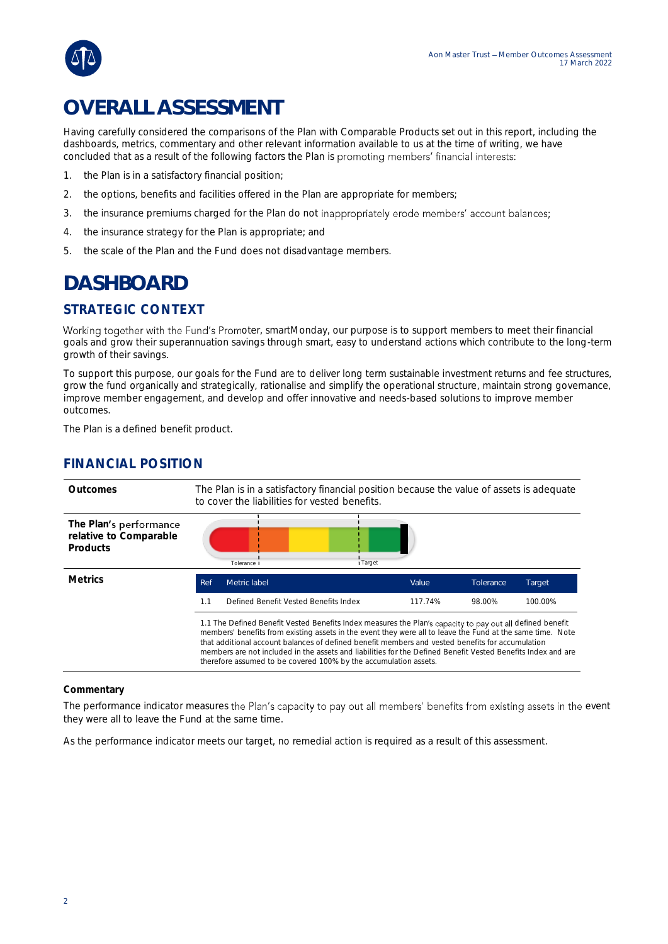

# **OVERALL ASSESSMENT**

Having carefully considered the comparisons of the Plan with Comparable Products set out in this report, including the dashboards, metrics, commentary and other relevant information available to us at the time of writing, we have concluded that as a result of the following factors the Plan is promoting members' financial interests:

- 1. the Plan is in a satisfactory financial position;
- 2. the options, benefits and facilities offered in the Plan are appropriate for members;
- 3. the insurance premiums charged for the Plan do not inappropriately erode members' account balances;
- 4. the insurance strategy for the Plan is appropriate; and
- 5. the scale of the Plan and the Fund does not disadvantage members.

# **DASHBOARD**

## STRATEGIC CONTEXT

Working together with the Fund's Promoter, smartMonday, our purpose is to support members to meet their financial goals and grow their superannuation savings through smart, easy to understand actions which contribute to the long-term growth of their savings.

To support this purpose, our goals for the Fund are to deliver long term sustainable investment returns and fee structures, grow the fund organically and strategically, rationalise and simplify the operational structure, maintain strong governance, improve member engagement, and develop and offer innovative and needs-based solutions to improve member outcomes.

The Plan is a defined benefit product.

### FINANCIAL POSITION

| Outcomes                                                     | The Plan is in a satisfactory financial position because the value of assets is adequate<br>to cover the liabilities for vested benefits.                                                                                                                                                                                                                                                                                                                                                                       |                                       |          |         |           |         |
|--------------------------------------------------------------|-----------------------------------------------------------------------------------------------------------------------------------------------------------------------------------------------------------------------------------------------------------------------------------------------------------------------------------------------------------------------------------------------------------------------------------------------------------------------------------------------------------------|---------------------------------------|----------|---------|-----------|---------|
| The Plan's performance<br>relative to Comparable<br>Products |                                                                                                                                                                                                                                                                                                                                                                                                                                                                                                                 | Tolerance I                           | I Target |         |           |         |
| <b>Metrics</b>                                               | Ref                                                                                                                                                                                                                                                                                                                                                                                                                                                                                                             | Metric label                          |          | Value   | Tolerance | Target  |
|                                                              | 1.1                                                                                                                                                                                                                                                                                                                                                                                                                                                                                                             | Defined Benefit Vested Benefits Index |          | 117.74% | 98.00%    | 100.00% |
|                                                              | 1.1 The Defined Benefit Vested Benefits Index measures the Plan's capacity to pay out all defined benefit<br>members' benefits from existing assets in the event they were all to leave the Fund at the same time. Note<br>that additional account balances of defined benefit members and vested benefits for accumulation<br>members are not included in the assets and liabilities for the Defined Benefit Vested Benefits Index and are<br>therefore assumed to be covered 100% by the accumulation assets. |                                       |          |         |           |         |

#### **Commentary**

The performance indicator measures the Plan's capacity to pay out all members' benefits from existing assets in the event they were all to leave the Fund at the same time.

As the performance indicator meets our target, no remedial action is required as a result of this assessment.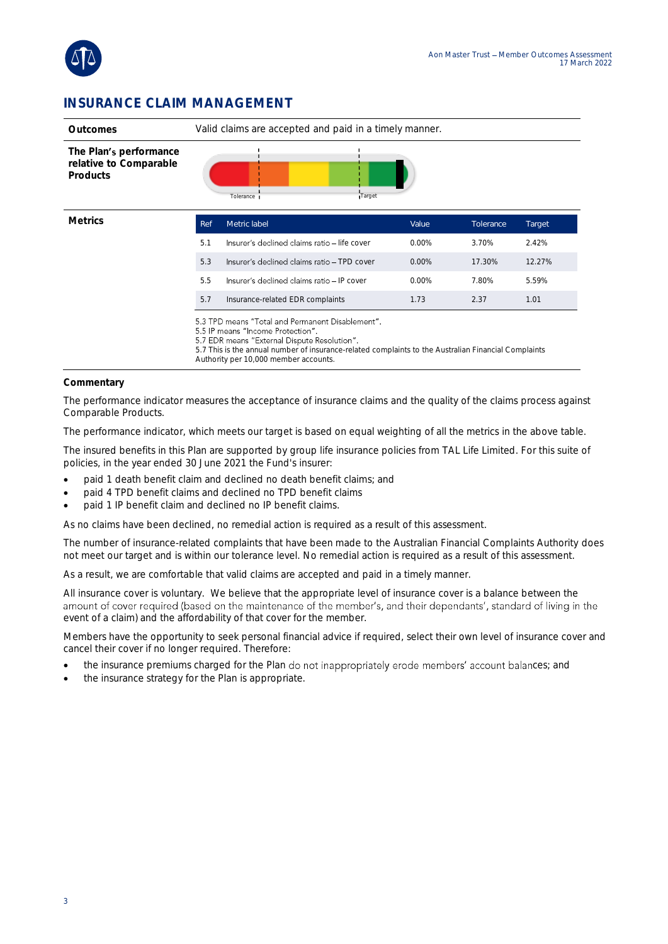

### INSURANCE CLAIM MANAGEMENT

| Outcomes                                                     | Valid claims are accepted and paid in a timely manner. |                                                                                                                                                                                                                                                                                        |          |           |        |  |
|--------------------------------------------------------------|--------------------------------------------------------|----------------------------------------------------------------------------------------------------------------------------------------------------------------------------------------------------------------------------------------------------------------------------------------|----------|-----------|--------|--|
| The Plan's performance<br>relative to Comparable<br>Products |                                                        | Tolerance<br>Target                                                                                                                                                                                                                                                                    |          |           |        |  |
| <b>Metrics</b>                                               | Ref                                                    | Metric label                                                                                                                                                                                                                                                                           | Value    | Tolerance | Target |  |
|                                                              | 5.1                                                    | Insurer's declined claims ratio - life cover                                                                                                                                                                                                                                           | $0.00\%$ | 3.70%     | 2.42%  |  |
|                                                              | 5.3                                                    | Insurer's declined claims ratio - TPD cover                                                                                                                                                                                                                                            | 0.00%    | 17.30%    | 12.27% |  |
|                                                              | 5.5                                                    | Insurer's declined claims ratio - IP cover                                                                                                                                                                                                                                             | $0.00\%$ | 7.80%     | 5.59%  |  |
|                                                              | 5.7                                                    | Insurance-related EDR complaints                                                                                                                                                                                                                                                       | 1.73     | 2.37      | 1.01   |  |
|                                                              |                                                        | 5.3 TPD means "Total and Permanent Disablement".<br>5.5 IP means "Income Protection".<br>5.7 EDR means "External Dispute Resolution".<br>5.7 This is the annual number of insurance-related complaints to the Australian Financial Complaints<br>Authority per 10,000 member accounts. |          |           |        |  |

#### **Commentary**

The performance indicator measures the acceptance of insurance claims and the quality of the claims process against Comparable Products.

The performance indicator, which meets our target is based on equal weighting of all the metrics in the above table.

The insured benefits in this Plan are supported by group life insurance policies from TAL Life Limited. For this suite of policies, in the year ended 30 June 2021 the Fund's insurer:

- paid 1 death benefit claim and declined no death benefit claims; and
- paid 4 TPD benefit claims and declined no TPD benefit claims
- paid 1 IP benefit claim and declined no IP benefit claims.

As no claims have been declined, no remedial action is required as a result of this assessment.

The number of insurance-related complaints that have been made to the Australian Financial Complaints Authority does not meet our target and is within our tolerance level. No remedial action is required as a result of this assessment.

As a result, we are comfortable that valid claims are accepted and paid in a timely manner.

All insurance cover is voluntary. We believe that the appropriate level of insurance cover is a balance between the<br>amount of cover required (based on the maintenance of the member's, and their dependants', standard of liv event of a claim) and the affordability of that cover for the member.

Members have the opportunity to seek personal financial advice if required, select their own level of insurance cover and cancel their cover if no longer required. Therefore:

- the insurance premiums charged for the Plan do not inappropriately erode members' account balances; and
- the insurance strategy for the Plan is appropriate.